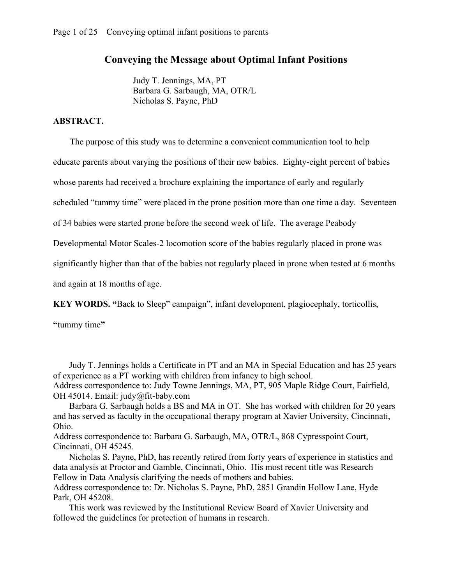## **Conveying the Message about Optimal Infant Positions**

Judy T. Jennings, MA, PT Barbara G. Sarbaugh, MA, OTR/L Nicholas S. Payne, PhD

## **ABSTRACT.**

The purpose of this study was to determine a convenient communication tool to help

educate parents about varying the positions of their new babies. Eighty-eight percent of babies

whose parents had received a brochure explaining the importance of early and regularly

scheduled "tummy time" were placed in the prone position more than one time a day. Seventeen

of 34 babies were started prone before the second week of life. The average Peabody

Developmental Motor Scales-2 locomotion score of the babies regularly placed in prone was

significantly higher than that of the babies not regularly placed in prone when tested at 6 months

and again at 18 months of age.

**KEY WORDS. "**Back to Sleep" campaign", infant development, plagiocephaly, torticollis,

**"**tummy time**"** 

Judy T. Jennings holds a Certificate in PT and an MA in Special Education and has 25 years of experience as a PT working with children from infancy to high school. Address correspondence to: Judy Towne Jennings, MA, PT, 905 Maple Ridge Court, Fairfield, OH 45014. Email: judy@fit-baby.com

 Barbara G. Sarbaugh holds a BS and MA in OT. She has worked with children for 20 years and has served as faculty in the occupational therapy program at Xavier University, Cincinnati, Ohio.

Address correspondence to: Barbara G. Sarbaugh, MA, OTR/L, 868 Cypresspoint Court, Cincinnati, OH 45245.

 Nicholas S. Payne, PhD, has recently retired from forty years of experience in statistics and data analysis at Proctor and Gamble, Cincinnati, Ohio. His most recent title was Research Fellow in Data Analysis clarifying the needs of mothers and babies.

Address correspondence to: Dr. Nicholas S. Payne, PhD, 2851 Grandin Hollow Lane, Hyde Park, OH 45208.

This work was reviewed by the Institutional Review Board of Xavier University and followed the guidelines for protection of humans in research.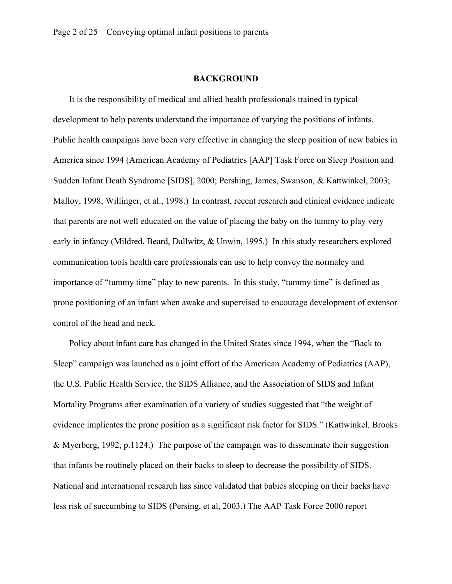## **BACKGROUND**

It is the responsibility of medical and allied health professionals trained in typical development to help parents understand the importance of varying the positions of infants. Public health campaigns have been very effective in changing the sleep position of new babies in America since 1994 (American Academy of Pediatrics [AAP] Task Force on Sleep Position and Sudden Infant Death Syndrome [SIDS], 2000; Pershing, James, Swanson, & Kattwinkel, 2003; Malloy, 1998; Willinger, et al., 1998.) In contrast, recent research and clinical evidence indicate that parents are not well educated on the value of placing the baby on the tummy to play very early in infancy (Mildred, Beard, Dallwitz, & Unwin, 1995.) In this study researchers explored communication tools health care professionals can use to help convey the normalcy and importance of "tummy time" play to new parents. In this study, "tummy time" is defined as prone positioning of an infant when awake and supervised to encourage development of extensor control of the head and neck.

Policy about infant care has changed in the United States since 1994, when the "Back to Sleep" campaign was launched as a joint effort of the American Academy of Pediatrics (AAP), the U.S. Public Health Service, the SIDS Alliance, and the Association of SIDS and Infant Mortality Programs after examination of a variety of studies suggested that "the weight of evidence implicates the prone position as a significant risk factor for SIDS." (Kattwinkel, Brooks & Myerberg, 1992, p.1124.) The purpose of the campaign was to disseminate their suggestion that infants be routinely placed on their backs to sleep to decrease the possibility of SIDS. National and international research has since validated that babies sleeping on their backs have less risk of succumbing to SIDS (Persing, et al, 2003.) The AAP Task Force 2000 report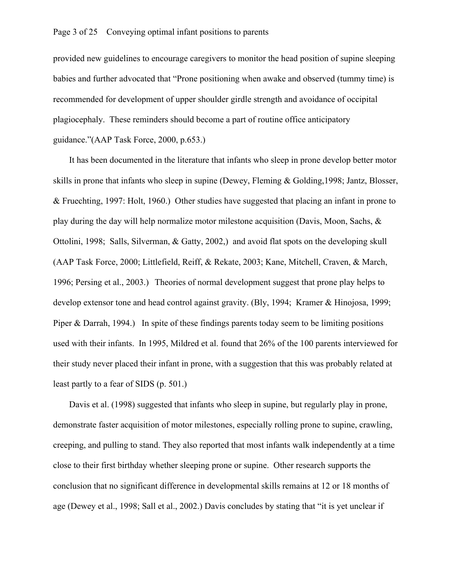provided new guidelines to encourage caregivers to monitor the head position of supine sleeping babies and further advocated that "Prone positioning when awake and observed (tummy time) is recommended for development of upper shoulder girdle strength and avoidance of occipital plagiocephaly. These reminders should become a part of routine office anticipatory guidance."(AAP Task Force, 2000, p.653.)

It has been documented in the literature that infants who sleep in prone develop better motor skills in prone that infants who sleep in supine (Dewey, Fleming & Golding,1998; Jantz, Blosser, & Fruechting, 1997: Holt, 1960.) Other studies have suggested that placing an infant in prone to play during the day will help normalize motor milestone acquisition (Davis, Moon, Sachs, & Ottolini, 1998; Salls, Silverman, & Gatty, 2002,) and avoid flat spots on the developing skull (AAP Task Force, 2000; Littlefield, Reiff, & Rekate, 2003; Kane, Mitchell, Craven, & March, 1996; Persing et al., 2003.) Theories of normal development suggest that prone play helps to develop extensor tone and head control against gravity. (Bly, 1994; Kramer & Hinojosa, 1999; Piper & Darrah, 1994.) In spite of these findings parents today seem to be limiting positions used with their infants. In 1995, Mildred et al. found that 26% of the 100 parents interviewed for their study never placed their infant in prone, with a suggestion that this was probably related at least partly to a fear of SIDS (p. 501.)

Davis et al. (1998) suggested that infants who sleep in supine, but regularly play in prone, demonstrate faster acquisition of motor milestones, especially rolling prone to supine, crawling, creeping, and pulling to stand. They also reported that most infants walk independently at a time close to their first birthday whether sleeping prone or supine. Other research supports the conclusion that no significant difference in developmental skills remains at 12 or 18 months of age (Dewey et al., 1998; Sall et al., 2002.) Davis concludes by stating that "it is yet unclear if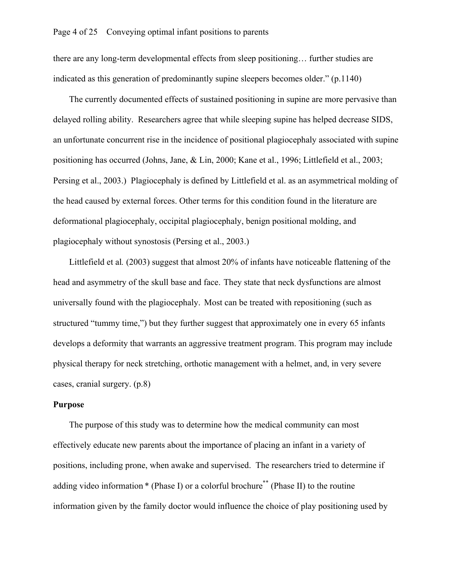there are any long-term developmental effects from sleep positioning… further studies are indicated as this generation of predominantly supine sleepers becomes older." (p.1140)

The currently documented effects of sustained positioning in supine are more pervasive than delayed rolling ability. Researchers agree that while sleeping supine has helped decrease SIDS, an unfortunate concurrent rise in the incidence of positional plagiocephaly associated with supine positioning has occurred (Johns, Jane, & Lin, 2000; Kane et al., 1996; Littlefield et al., 2003; Persing et al., 2003.) Plagiocephaly is defined by Littlefield et al. as an asymmetrical molding of the head caused by external forces. Other terms for this condition found in the literature are deformational plagiocephaly, occipital plagiocephaly, benign positional molding, and plagiocephaly without synostosis (Persing et al., 2003.)

Littlefield et al*.* (2003) suggest that almost 20% of infants have noticeable flattening of the head and asymmetry of the skull base and face. They state that neck dysfunctions are almost universally found with the plagiocephaly. Most can be treated with repositioning (such as structured "tummy time,") but they further suggest that approximately one in every 65 infants develops a deformity that warrants an aggressive treatment program. This program may include physical therapy for neck stretching, orthotic management with a helmet, and, in very severe cases, cranial surgery. (p.8)

#### **Purpose**

The purpose of this study was to determine how the medical community can most effectively educate new parents about the importance of placing an infant in a variety of positions, including prone, when awake and supervised. The researchers tried to determine if adding video information \* (Phase I) or a colorful brochure\*\* (Phase II) to the routine information given by the family doctor would influence the choice of play positioning used by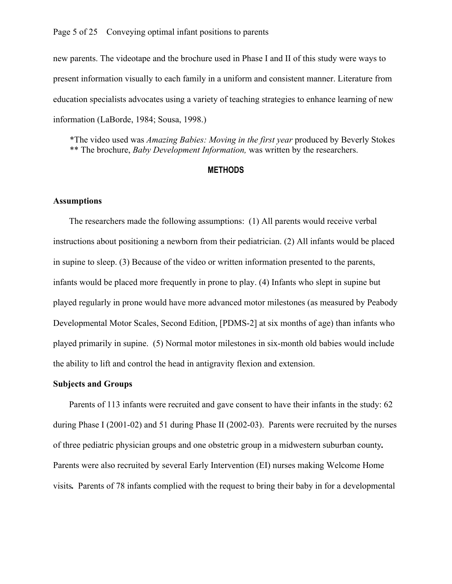new parents. The videotape and the brochure used in Phase I and II of this study were ways to present information visually to each family in a uniform and consistent manner. Literature from education specialists advocates using a variety of teaching strategies to enhance learning of new information (LaBorde, 1984; Sousa, 1998.)

\*The video used was *Amazing Babies: Moving in the first year* produced by Beverly Stokes \*\* The brochure, *Baby Development Information,* was written by the researchers.

## **METHODS**

### **Assumptions**

The researchers made the following assumptions: (1) All parents would receive verbal instructions about positioning a newborn from their pediatrician. (2) All infants would be placed in supine to sleep. (3) Because of the video or written information presented to the parents, infants would be placed more frequently in prone to play. (4) Infants who slept in supine but played regularly in prone would have more advanced motor milestones (as measured by Peabody Developmental Motor Scales, Second Edition, [PDMS-2] at six months of age) than infants who played primarily in supine. (5) Normal motor milestones in six-month old babies would include the ability to lift and control the head in antigravity flexion and extension.

## **Subjects and Groups**

Parents of 113 infants were recruited and gave consent to have their infants in the study: 62 during Phase I (2001-02) and 51 during Phase II (2002-03). Parents were recruited by the nurses of three pediatric physician groups and one obstetric group in a midwestern suburban county*.*  Parents were also recruited by several Early Intervention (EI) nurses making Welcome Home visits*.* Parents of 78 infants complied with the request to bring their baby in for a developmental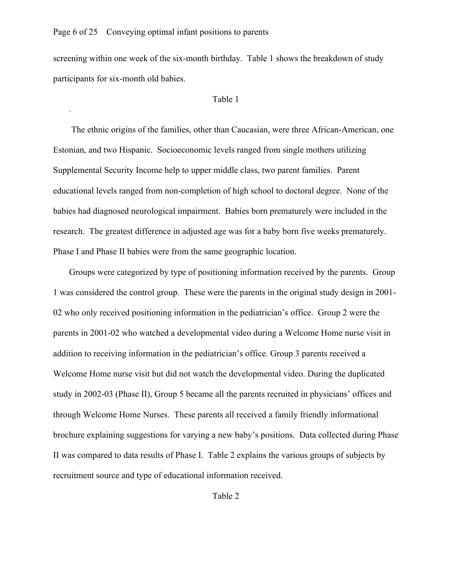## Page 6 of 25 Conveying optimal infant positions to parents

.

screening within one week of the six-month birthday. Table 1 shows the breakdown of study participants for six-month old babies.

### Table 1

The ethnic origins of the families, other than Caucasian, were three African-American, one Estonian, and two Hispanic. Socioeconomic levels ranged from single mothers utilizing Supplemental Security Income help to upper middle class, two parent families. Parent educational levels ranged from non-completion of high school to doctoral degree. None of the babies had diagnosed neurological impairment. Babies born prematurely were included in the research. The greatest difference in adjusted age was for a baby born five weeks prematurely. Phase I and Phase II babies were from the same geographic location.

Groups were categorized by type of positioning information received by the parents. Group 1 was considered the control group. These were the parents in the original study design in 2001- 02 who only received positioning information in the pediatrician's office. Group 2 were the parents in 2001-02 who watched a developmental video during a Welcome Home nurse visit in addition to receiving information in the pediatrician's office. Group 3 parents received a Welcome Home nurse visit but did not watch the developmental video. During the duplicated study in 2002-03 (Phase II), Group 5 became all the parents recruited in physicians' offices and through Welcome Home Nurses. These parents all received a family friendly informational brochure explaining suggestions for varying a new baby's positions. Data collected during Phase II was compared to data results of Phase I. Table 2 explains the various groups of subjects by recruitment source and type of educational information received.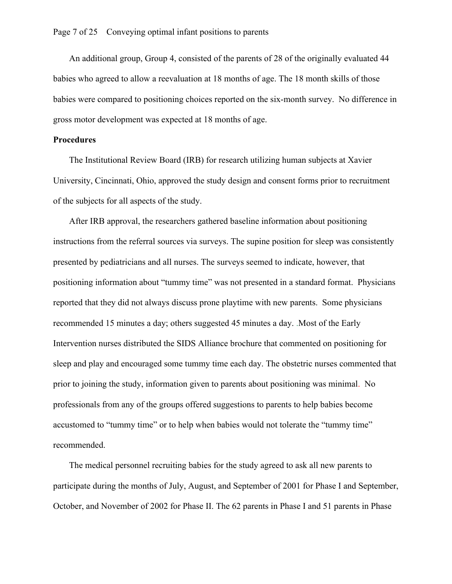An additional group, Group 4, consisted of the parents of 28 of the originally evaluated 44 babies who agreed to allow a reevaluation at 18 months of age. The 18 month skills of those babies were compared to positioning choices reported on the six-month survey. No difference in gross motor development was expected at 18 months of age.

## **Procedures**

The Institutional Review Board (IRB) for research utilizing human subjects at Xavier University, Cincinnati, Ohio, approved the study design and consent forms prior to recruitment of the subjects for all aspects of the study.

After IRB approval, the researchers gathered baseline information about positioning instructions from the referral sources via surveys. The supine position for sleep was consistently presented by pediatricians and all nurses. The surveys seemed to indicate, however, that positioning information about "tummy time" was not presented in a standard format. Physicians reported that they did not always discuss prone playtime with new parents. Some physicians recommended 15 minutes a day; others suggested 45 minutes a day. .Most of the Early Intervention nurses distributed the SIDS Alliance brochure that commented on positioning for sleep and play and encouraged some tummy time each day. The obstetric nurses commented that prior to joining the study, information given to parents about positioning was minimal. No professionals from any of the groups offered suggestions to parents to help babies become accustomed to "tummy time" or to help when babies would not tolerate the "tummy time" recommended.

The medical personnel recruiting babies for the study agreed to ask all new parents to participate during the months of July, August, and September of 2001 for Phase I and September, October, and November of 2002 for Phase II. The 62 parents in Phase I and 51 parents in Phase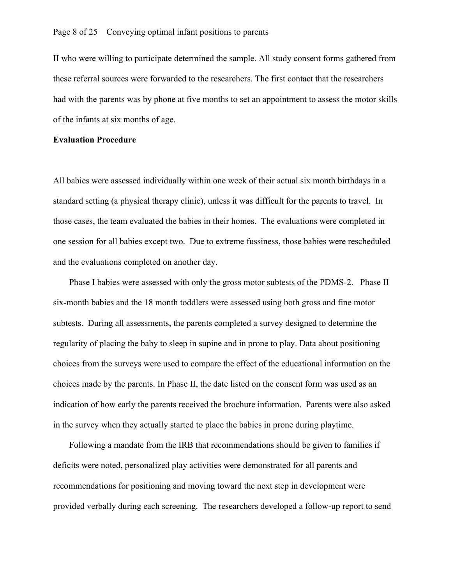II who were willing to participate determined the sample. All study consent forms gathered from these referral sources were forwarded to the researchers. The first contact that the researchers had with the parents was by phone at five months to set an appointment to assess the motor skills of the infants at six months of age.

## **Evaluation Procedure**

All babies were assessed individually within one week of their actual six month birthdays in a standard setting (a physical therapy clinic), unless it was difficult for the parents to travel. In those cases, the team evaluated the babies in their homes. The evaluations were completed in one session for all babies except two. Due to extreme fussiness, those babies were rescheduled and the evaluations completed on another day.

Phase I babies were assessed with only the gross motor subtests of the PDMS-2. Phase II six-month babies and the 18 month toddlers were assessed using both gross and fine motor subtests. During all assessments, the parents completed a survey designed to determine the regularity of placing the baby to sleep in supine and in prone to play. Data about positioning choices from the surveys were used to compare the effect of the educational information on the choices made by the parents. In Phase II, the date listed on the consent form was used as an indication of how early the parents received the brochure information. Parents were also asked in the survey when they actually started to place the babies in prone during playtime.

Following a mandate from the IRB that recommendations should be given to families if deficits were noted, personalized play activities were demonstrated for all parents and recommendations for positioning and moving toward the next step in development were provided verbally during each screening. The researchers developed a follow-up report to send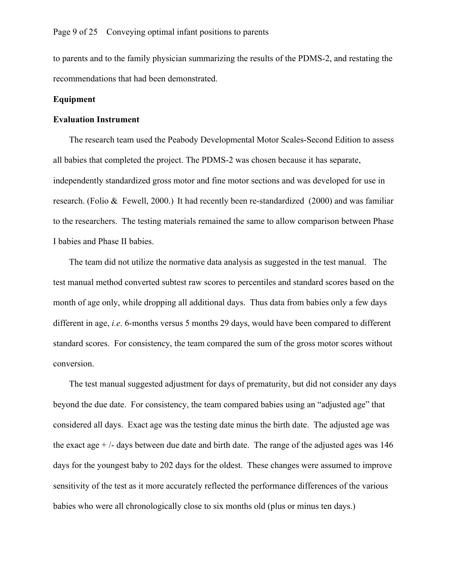to parents and to the family physician summarizing the results of the PDMS-2, and restating the recommendations that had been demonstrated.

## **Equipment**

#### **Evaluation Instrument**

The research team used the Peabody Developmental Motor Scales-Second Edition to assess all babies that completed the project. The PDMS-2 was chosen because it has separate, independently standardized gross motor and fine motor sections and was developed for use in research. (Folio & Fewell, 2000.) It had recently been re-standardized (2000) and was familiar to the researchers. The testing materials remained the same to allow comparison between Phase I babies and Phase II babies.

The team did not utilize the normative data analysis as suggested in the test manual. The test manual method converted subtest raw scores to percentiles and standard scores based on the month of age only, while dropping all additional days. Thus data from babies only a few days different in age, *i.e*. 6-months versus 5 months 29 days, would have been compared to different standard scores. For consistency, the team compared the sum of the gross motor scores without conversion.

The test manual suggested adjustment for days of prematurity, but did not consider any days beyond the due date. For consistency, the team compared babies using an "adjusted age" that considered all days. Exact age was the testing date minus the birth date. The adjusted age was the exact age  $+/-$  days between due date and birth date. The range of the adjusted ages was 146 days for the youngest baby to 202 days for the oldest. These changes were assumed to improve sensitivity of the test as it more accurately reflected the performance differences of the various babies who were all chronologically close to six months old (plus or minus ten days.)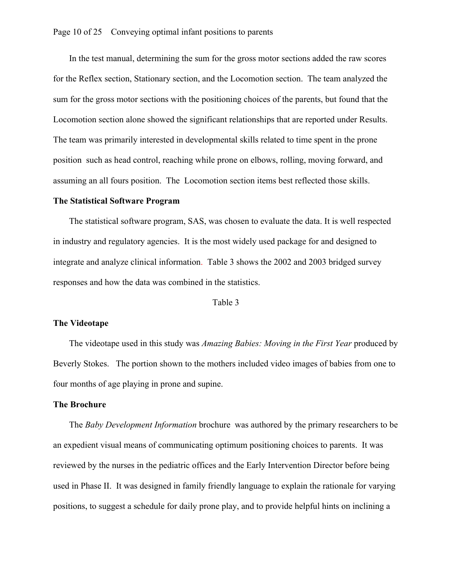### Page 10 of 25 Conveying optimal infant positions to parents

In the test manual, determining the sum for the gross motor sections added the raw scores for the Reflex section, Stationary section, and the Locomotion section. The team analyzed the sum for the gross motor sections with the positioning choices of the parents, but found that the Locomotion section alone showed the significant relationships that are reported under Results. The team was primarily interested in developmental skills related to time spent in the prone position such as head control, reaching while prone on elbows, rolling, moving forward, and assuming an all fours position. The Locomotion section items best reflected those skills.

#### **The Statistical Software Program**

The statistical software program, SAS, was chosen to evaluate the data. It is well respected in industry and regulatory agencies. It is the most widely used package for and designed to integrate and analyze clinical information. Table 3 shows the 2002 and 2003 bridged survey responses and how the data was combined in the statistics.

Table 3

## **The Videotape**

The videotape used in this study was *Amazing Babies: Moving in the First Year* produced by Beverly Stokes. The portion shown to the mothers included video images of babies from one to four months of age playing in prone and supine.

## **The Brochure**

The *Baby Development Information* brochure was authored by the primary researchers to be an expedient visual means of communicating optimum positioning choices to parents. It was reviewed by the nurses in the pediatric offices and the Early Intervention Director before being used in Phase II. It was designed in family friendly language to explain the rationale for varying positions, to suggest a schedule for daily prone play, and to provide helpful hints on inclining a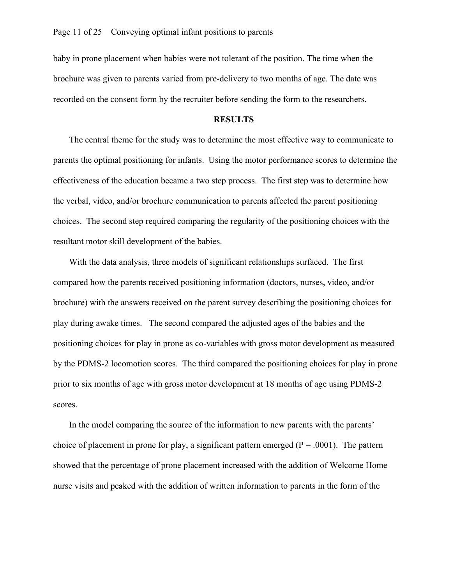baby in prone placement when babies were not tolerant of the position. The time when the brochure was given to parents varied from pre-delivery to two months of age. The date was recorded on the consent form by the recruiter before sending the form to the researchers.

### **RESULTS**

The central theme for the study was to determine the most effective way to communicate to parents the optimal positioning for infants. Using the motor performance scores to determine the effectiveness of the education became a two step process. The first step was to determine how the verbal, video, and/or brochure communication to parents affected the parent positioning choices. The second step required comparing the regularity of the positioning choices with the resultant motor skill development of the babies.

With the data analysis, three models of significant relationships surfaced. The first compared how the parents received positioning information (doctors, nurses, video, and/or brochure) with the answers received on the parent survey describing the positioning choices for play during awake times. The second compared the adjusted ages of the babies and the positioning choices for play in prone as co-variables with gross motor development as measured by the PDMS-2 locomotion scores. The third compared the positioning choices for play in prone prior to six months of age with gross motor development at 18 months of age using PDMS-2 scores.

In the model comparing the source of the information to new parents with the parents' choice of placement in prone for play, a significant pattern emerged ( $P = .0001$ ). The pattern showed that the percentage of prone placement increased with the addition of Welcome Home nurse visits and peaked with the addition of written information to parents in the form of the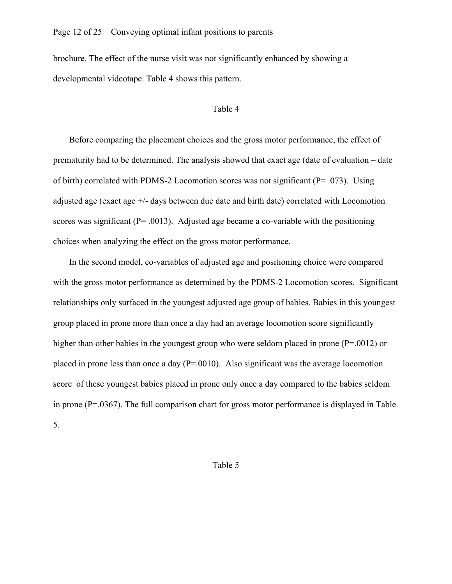brochure. The effect of the nurse visit was not significantly enhanced by showing a developmental videotape. Table 4 shows this pattern.

## Table 4

Before comparing the placement choices and the gross motor performance, the effect of prematurity had to be determined. The analysis showed that exact age (date of evaluation – date of birth) correlated with PDMS-2 Locomotion scores was not significant (P= .073). Using adjusted age (exact age +/- days between due date and birth date) correlated with Locomotion scores was significant ( $P = .0013$ ). Adjusted age became a co-variable with the positioning choices when analyzing the effect on the gross motor performance.

In the second model, co-variables of adjusted age and positioning choice were compared with the gross motor performance as determined by the PDMS-2 Locomotion scores. Significant relationships only surfaced in the youngest adjusted age group of babies. Babies in this youngest group placed in prone more than once a day had an average locomotion score significantly higher than other babies in the youngest group who were seldom placed in prone (P=.0012) or placed in prone less than once a day (P=.0010). Also significant was the average locomotion score of these youngest babies placed in prone only once a day compared to the babies seldom in prone (P=.0367). The full comparison chart for gross motor performance is displayed in Table 5.

#### Table 5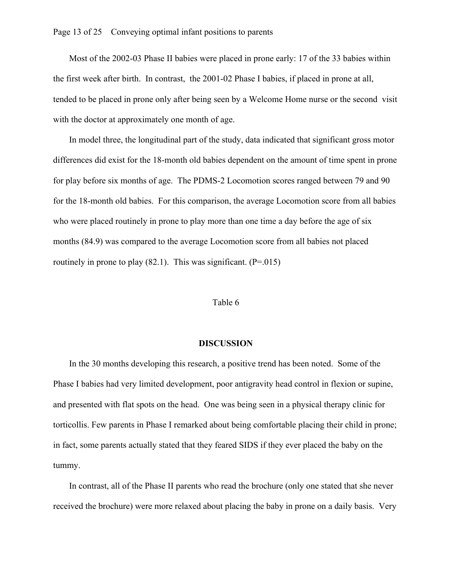Most of the 2002-03 Phase II babies were placed in prone early: 17 of the 33 babies within the first week after birth. In contrast, the 2001-02 Phase I babies, if placed in prone at all, tended to be placed in prone only after being seen by a Welcome Home nurse or the second visit with the doctor at approximately one month of age.

 In model three, the longitudinal part of the study, data indicated that significant gross motor differences did exist for the 18-month old babies dependent on the amount of time spent in prone for play before six months of age. The PDMS-2 Locomotion scores ranged between 79 and 90 for the 18-month old babies. For this comparison, the average Locomotion score from all babies who were placed routinely in prone to play more than one time a day before the age of six months (84.9) was compared to the average Locomotion score from all babies not placed routinely in prone to play  $(82.1)$ . This was significant.  $(P=015)$ 

#### Table 6

#### **DISCUSSION**

 In the 30 months developing this research, a positive trend has been noted. Some of the Phase I babies had very limited development, poor antigravity head control in flexion or supine, and presented with flat spots on the head. One was being seen in a physical therapy clinic for torticollis. Few parents in Phase I remarked about being comfortable placing their child in prone; in fact, some parents actually stated that they feared SIDS if they ever placed the baby on the tummy.

 In contrast, all of the Phase II parents who read the brochure (only one stated that she never received the brochure) were more relaxed about placing the baby in prone on a daily basis. Very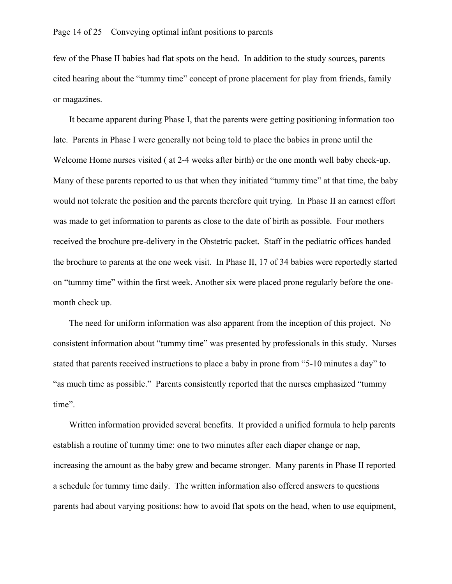few of the Phase II babies had flat spots on the head. In addition to the study sources, parents cited hearing about the "tummy time" concept of prone placement for play from friends, family or magazines.

 It became apparent during Phase I, that the parents were getting positioning information too late. Parents in Phase I were generally not being told to place the babies in prone until the Welcome Home nurses visited ( at 2-4 weeks after birth) or the one month well baby check-up. Many of these parents reported to us that when they initiated "tummy time" at that time, the baby would not tolerate the position and the parents therefore quit trying. In Phase II an earnest effort was made to get information to parents as close to the date of birth as possible. Four mothers received the brochure pre-delivery in the Obstetric packet. Staff in the pediatric offices handed the brochure to parents at the one week visit. In Phase II, 17 of 34 babies were reportedly started on "tummy time" within the first week. Another six were placed prone regularly before the onemonth check up.

The need for uniform information was also apparent from the inception of this project. No consistent information about "tummy time" was presented by professionals in this study. Nurses stated that parents received instructions to place a baby in prone from "5-10 minutes a day" to "as much time as possible." Parents consistently reported that the nurses emphasized "tummy time".

Written information provided several benefits. It provided a unified formula to help parents establish a routine of tummy time: one to two minutes after each diaper change or nap, increasing the amount as the baby grew and became stronger. Many parents in Phase II reported a schedule for tummy time daily. The written information also offered answers to questions parents had about varying positions: how to avoid flat spots on the head, when to use equipment,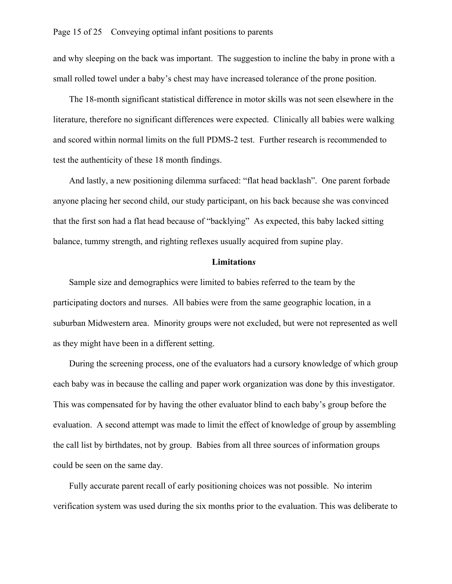and why sleeping on the back was important. The suggestion to incline the baby in prone with a small rolled towel under a baby's chest may have increased tolerance of the prone position.

The 18-month significant statistical difference in motor skills was not seen elsewhere in the literature, therefore no significant differences were expected. Clinically all babies were walking and scored within normal limits on the full PDMS-2 test. Further research is recommended to test the authenticity of these 18 month findings.

And lastly, a new positioning dilemma surfaced: "flat head backlash". One parent forbade anyone placing her second child, our study participant, on his back because she was convinced that the first son had a flat head because of "backlying" As expected, this baby lacked sitting balance, tummy strength, and righting reflexes usually acquired from supine play.

## **Limitation***s*

Sample size and demographics were limited to babies referred to the team by the participating doctors and nurses. All babies were from the same geographic location, in a suburban Midwestern area. Minority groups were not excluded, but were not represented as well as they might have been in a different setting.

During the screening process, one of the evaluators had a cursory knowledge of which group each baby was in because the calling and paper work organization was done by this investigator. This was compensated for by having the other evaluator blind to each baby's group before the evaluation. A second attempt was made to limit the effect of knowledge of group by assembling the call list by birthdates, not by group. Babies from all three sources of information groups could be seen on the same day.

Fully accurate parent recall of early positioning choices was not possible. No interim verification system was used during the six months prior to the evaluation. This was deliberate to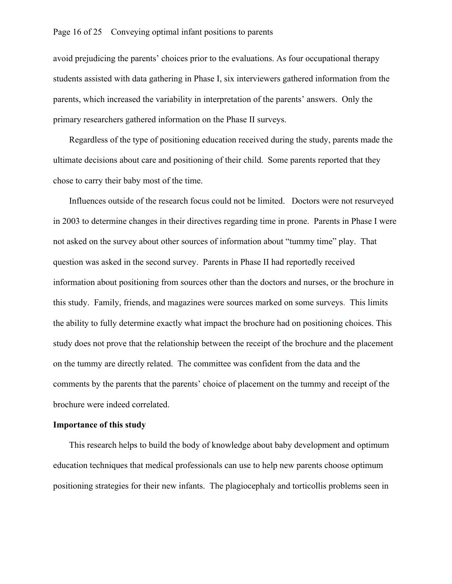## Page 16 of 25 Conveying optimal infant positions to parents

avoid prejudicing the parents' choices prior to the evaluations. As four occupational therapy students assisted with data gathering in Phase I, six interviewers gathered information from the parents, which increased the variability in interpretation of the parents' answers. Only the primary researchers gathered information on the Phase II surveys.

Regardless of the type of positioning education received during the study, parents made the ultimate decisions about care and positioning of their child. Some parents reported that they chose to carry their baby most of the time.

Influences outside of the research focus could not be limited. Doctors were not resurveyed in 2003 to determine changes in their directives regarding time in prone. Parents in Phase I were not asked on the survey about other sources of information about "tummy time" play. That question was asked in the second survey. Parents in Phase II had reportedly received information about positioning from sources other than the doctors and nurses, or the brochure in this study. Family, friends, and magazines were sources marked on some surveys. This limits the ability to fully determine exactly what impact the brochure had on positioning choices. This study does not prove that the relationship between the receipt of the brochure and the placement on the tummy are directly related. The committee was confident from the data and the comments by the parents that the parents' choice of placement on the tummy and receipt of the brochure were indeed correlated.

#### **Importance of this study**

This research helps to build the body of knowledge about baby development and optimum education techniques that medical professionals can use to help new parents choose optimum positioning strategies for their new infants. The plagiocephaly and torticollis problems seen in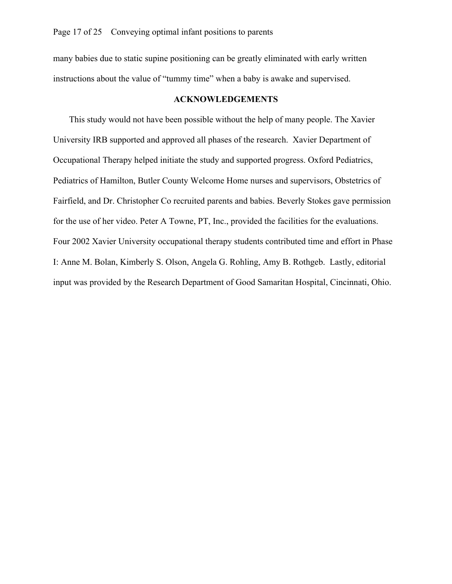many babies due to static supine positioning can be greatly eliminated with early written instructions about the value of "tummy time" when a baby is awake and supervised.

## **ACKNOWLEDGEMENTS**

This study would not have been possible without the help of many people. The Xavier University IRB supported and approved all phases of the research. Xavier Department of Occupational Therapy helped initiate the study and supported progress. Oxford Pediatrics, Pediatrics of Hamilton, Butler County Welcome Home nurses and supervisors, Obstetrics of Fairfield, and Dr. Christopher Co recruited parents and babies. Beverly Stokes gave permission for the use of her video. Peter A Towne, PT, Inc., provided the facilities for the evaluations. Four 2002 Xavier University occupational therapy students contributed time and effort in Phase I: Anne M. Bolan, Kimberly S. Olson, Angela G. Rohling, Amy B. Rothgeb. Lastly, editorial input was provided by the Research Department of Good Samaritan Hospital, Cincinnati, Ohio.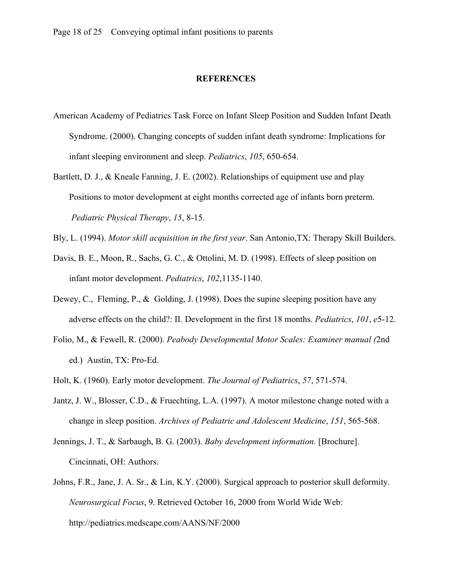#### **REFERENCES**

- American Academy of Pediatrics Task Force on Infant Sleep Position and Sudden Infant Death Syndrome. (2000). Changing concepts of sudden infant death syndrome: Implications for infant sleeping environment and sleep. *Pediatrics*, *105*, 650-654.
- Bartlett, D. J., & Kneale Fanning, J. E. (2002). Relationships of equipment use and play Positions to motor development at eight months corrected age of infants born preterm. *Pediatric Physical Therapy*, *15*, 8-15.
- Bly, L. (1994). *Motor skill acquisition in the first year*. San Antonio,TX: Therapy Skill Builders.
- Davis, B. E., Moon, R., Sachs, G. C., & Ottolini, M. D. (1998). Effects of sleep position on infant motor development. *Pediatrics*, *102*,1135-1140.
- Dewey, C., Fleming, P., & Golding, J. (1998). Does the supine sleeping position have any adverse effects on the child?: II. Development in the first 18 months. *Pediatrics*, *101*, *e*5-12.
- Folio, M., & Fewell, R. (2000). *Peabody Developmental Motor Scales: Examiner manual (*2nd ed.) Austin, TX: Pro-Ed.
- Holt, K. (1960). Early motor development. *The Journal of Pediatrics*, *57*, 571-574.
- Jantz, J. W., Blosser, C.D., & Fruechting, L.A. (1997). A motor milestone change noted with a change in sleep position. *Archives of Pediatric and Adolescent Medicine*, *151*, 565-568.
- Jennings, J. T., & Sarbaugh, B. G. (2003). *Baby development information.* [Brochure]. Cincinnati, OH: Authors.
- Johns, F.R., Jane, J. A. Sr., & Lin, K.Y. (2000). Surgical approach to posterior skull deformity. *Neurosurgical Focus*, 9. Retrieved October 16, 2000 from World Wide Web: http://pediatrics.medscape.com/AANS/NF/2000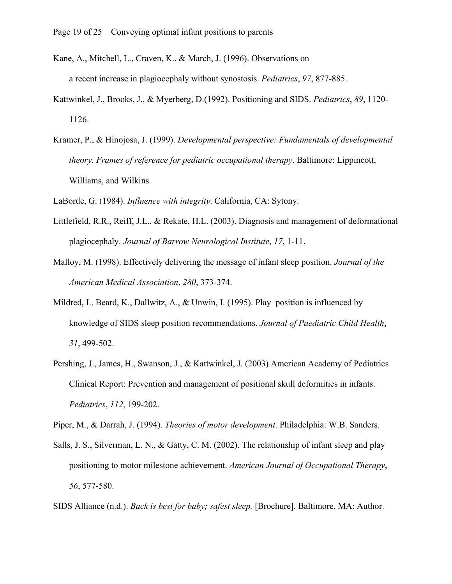- Kane, A., Mitchell, L., Craven, K., & March, J. (1996). Observations on a recent increase in plagiocephaly without synostosis. *Pediatrics*, *97*, 877-885.
- Kattwinkel, J., Brooks, J., & Myerberg, D.(1992). Positioning and SIDS. *Pediatrics*, *89*, 1120- 1126.
- Kramer, P., & Hinojosa, J. (1999). *Developmental perspective: Fundamentals of developmental theory. Frames of reference for pediatric occupational therapy*. Baltimore: Lippincott, Williams, and Wilkins.
- LaBorde, G. (1984). *Influence with integrity*. California, CA: Sytony.
- Littlefield, R.R., Reiff, J.L., & Rekate, H.L. (2003). Diagnosis and management of deformational plagiocephaly. *Journal of Barrow Neurological Institute*, *17*, 1-11.
- Malloy, M. (1998). Effectively delivering the message of infant sleep position. *Journal of the American Medical Association*, *280*, 373-374.
- Mildred, I., Beard, K., Dallwitz, A., & Unwin, I. (1995). Play position is influenced by knowledge of SIDS sleep position recommendations. *Journal of Paediatric Child Health*, *31*, 499-502.
- Pershing, J., James, H., Swanson, J., & Kattwinkel, J. (2003) American Academy of Pediatrics Clinical Report: Prevention and management of positional skull deformities in infants. *Pediatrics*, *112*, 199-202.

Piper, M., & Darrah, J. (1994). *Theories of motor development*. Philadelphia: W.B. Sanders.

- Salls, J. S., Silverman, L. N., & Gatty, C. M. (2002). The relationship of infant sleep and play positioning to motor milestone achievement. *American Journal of Occupational Therapy*, *56*, 577-580.
- SIDS Alliance (n.d.). *Back is best for baby; safest sleep.* [Brochure]. Baltimore, MA: Author.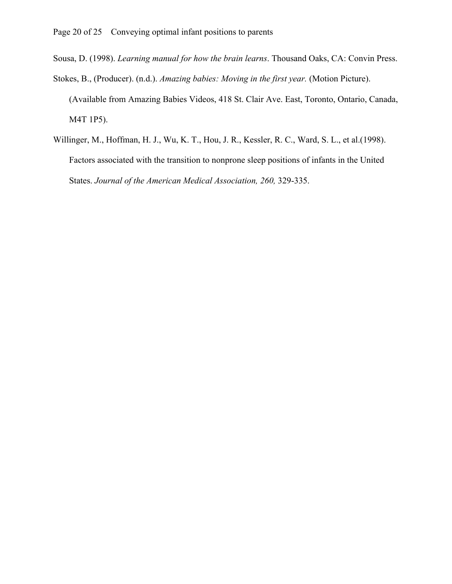- Sousa, D. (1998). *Learning manual for how the brain learns*. Thousand Oaks, CA: Convin Press.
- Stokes, B., (Producer). (n.d.). *Amazing babies: Moving in the first year.* (Motion Picture). (Available from Amazing Babies Videos, 418 St. Clair Ave. East, Toronto, Ontario, Canada, M4T 1P5).
- Willinger, M., Hoffman, H. J., Wu, K. T., Hou, J. R., Kessler, R. C., Ward, S. L., et al.(1998). Factors associated with the transition to nonprone sleep positions of infants in the United States. *Journal of the American Medical Association, 260,* 329-335.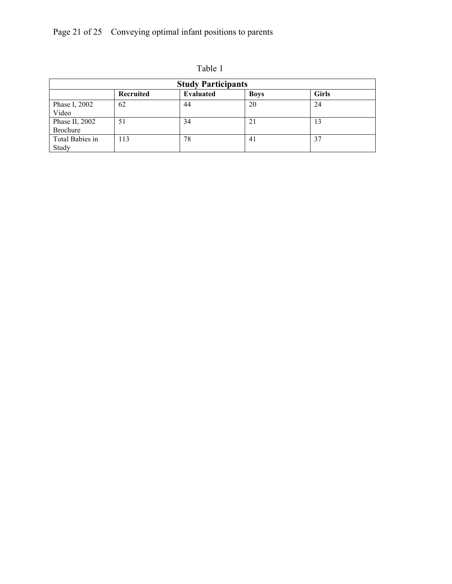# Page 21 of 25 Conveying optimal infant positions to parents

| <b>Study Participants</b>  |           |                  |             |              |
|----------------------------|-----------|------------------|-------------|--------------|
|                            | Recruited | <b>Evaluated</b> | <b>Boys</b> | <b>Girls</b> |
| Phase I, 2002<br>Video     | 62        | 44               | 20          | 24           |
| Phase II, 2002<br>Brochure | 51        | 34               | 21          | 13           |
| Total Babies in<br>Study   | 113       | 78               | 41          | 37           |

Table 1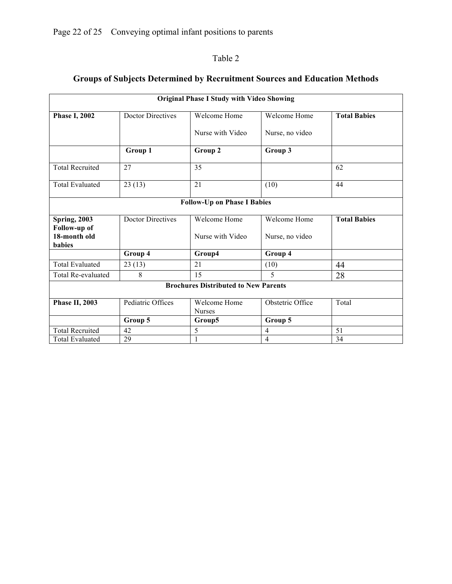## Table 2

| <b>Original Phase I Study with Video Showing</b> |                          |                               |                  |                     |  |
|--------------------------------------------------|--------------------------|-------------------------------|------------------|---------------------|--|
| <b>Phase I, 2002</b>                             | <b>Doctor Directives</b> | Welcome Home<br>Welcome Home  |                  | <b>Total Babies</b> |  |
|                                                  |                          | Nurse with Video              | Nurse, no video  |                     |  |
|                                                  | Group 1                  | Group 2                       | Group 3          |                     |  |
| <b>Total Recruited</b>                           | 27                       | 35                            |                  | 62                  |  |
| <b>Total Evaluated</b>                           | 23(13)                   | 21<br>(10)                    |                  | 44                  |  |
| <b>Follow-Up on Phase I Babies</b>               |                          |                               |                  |                     |  |
| <b>Spring, 2003</b>                              | <b>Doctor Directives</b> | Welcome Home                  | Welcome Home     | <b>Total Babies</b> |  |
| Follow-up of<br>18-month old<br><b>babies</b>    |                          | Nurse with Video              | Nurse, no video  |                     |  |
|                                                  | Group 4                  | Group4                        | Group 4          |                     |  |
| <b>Total Evaluated</b>                           | 23(13)                   | 21                            | (10)             | 44                  |  |
| Total Re-evaluated                               | 8                        | 15<br>5                       |                  | 28                  |  |
| <b>Brochures Distributed to New Parents</b>      |                          |                               |                  |                     |  |
| <b>Phase II, 2003</b>                            | Pediatric Offices        | Welcome Home<br><b>Nurses</b> | Obstetric Office | Total               |  |
|                                                  | Group 5                  | Group5                        | Group 5          |                     |  |
| <b>Total Recruited</b>                           | 42                       | 5                             | $\overline{4}$   | 51                  |  |
| <b>Total Evaluated</b>                           | 29                       |                               | $\overline{4}$   | 34                  |  |

## **Groups of Subjects Determined by Recruitment Sources and Education Methods**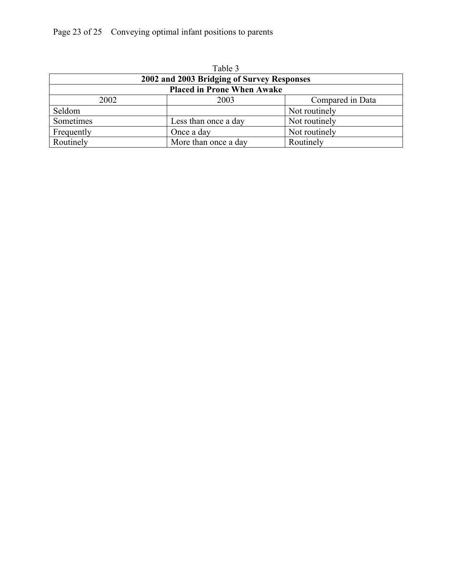# Page 23 of 25 Conveying optimal infant positions to parents

| Table 3                                    |                      |                  |  |  |
|--------------------------------------------|----------------------|------------------|--|--|
| 2002 and 2003 Bridging of Survey Responses |                      |                  |  |  |
| <b>Placed in Prone When Awake</b>          |                      |                  |  |  |
| 2002                                       | 2003                 | Compared in Data |  |  |
| Seldom                                     |                      | Not routinely    |  |  |
| Sometimes                                  | Less than once a day | Not routinely    |  |  |
| Frequently                                 | Once a day           | Not routinely    |  |  |
| Routinely                                  | More than once a day | Routinely        |  |  |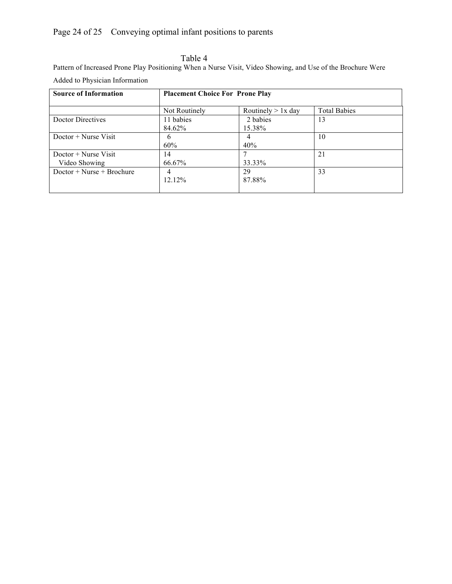## Page 24 of 25 Conveying optimal infant positions to parents

Table 4

Pattern of Increased Prone Play Positioning When a Nurse Visit, Video Showing, and Use of the Brochure Were Added to Physician Information

| <b>Source of Information</b> | <b>Placement Choice For Prone Play</b> |                      |                     |  |
|------------------------------|----------------------------------------|----------------------|---------------------|--|
|                              | Not Routinely                          | Routinely $> 1x$ day | <b>Total Babies</b> |  |
| Doctor Directives            | 11 babies                              | 2 babies             | 13                  |  |
|                              | 84.62%                                 | 15.38%               |                     |  |
| $Doctor + Nurse Visit$       | 6                                      | 4                    | 10                  |  |
|                              | 60%                                    | 40%                  |                     |  |
| Doctor + Nurse Visit         | 14                                     |                      | 21                  |  |
| Video Showing                | 66.67%                                 | 33.33%               |                     |  |
| $Doctor + Nurse + Brochure$  | 4                                      | 29                   | 33                  |  |
|                              | 12.12%                                 | 87.88%               |                     |  |